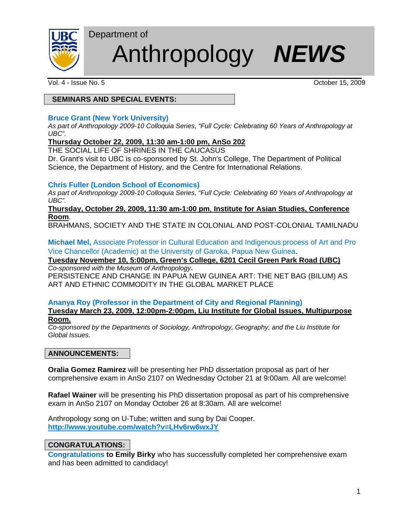

# Anthropology *NEWS*

Vol. 4 - Issue No. 5 October 15, 2009

# **SEMINARS AND SPECIAL EVENTS:**

Department of

## **Bruce Grant (New York University)**

*As part of Anthropology 2009-10 Colloquia Series, "Full Cycle: Celebrating 60 Years of Anthropology at UBC".*

#### **Thursday October 22, 2009, 11:30 am-1:00 pm, AnSo 202**

THE SOCIAL LIFE OF SHRINES IN THE CAUCASUS

Dr. Grant's visit to UBC is co-sponsored by St. John's College, The Department of Political Science, the Department of History, and the Centre for International Relations.

# **Chris Fuller (London School of Economics)**

*As part of Anthropology 2009-10 Colloquia Series, "Full Cycle: Celebrating 60 Years of Anthropology at UBC".*

#### **Thursday, October 29, 2009, 11:30 am-1:00 pm**, **Institute for Asian Studies, Conference Room**.

BRAHMANS, SOCIETY AND THE STATE IN COLONIAL AND POST-COLONIAL TAMILNADU

**Michael Mel,** Associate Professor in Cultural Education and Indigenous process of Art and Pro Vice Chancellor (Academic) at the University of Garoka, Papua New Guinea.

**Tuesday November 10, 5:00pm, Green's College, 6201 Cecil Green Park Road (UBC)**  *Co-sponsored with the Museum of Anthropology***.** 

PERSISTENCE AND CHANGE IN PAPUA NEW GUINEA ART: THE NET BAG (BILUM) AS ART AND ETHNIC COMMODITY IN THE GLOBAL MARKET PLACE

#### **Ananya Roy (Professor in the Department of City and Regional Planning) Tuesday March 23, 2009, 12:00pm-2:00pm, Liu Institute for Global Issues, Multipurpose**

# **Room.**

*Co-sponsored by the Departments of Sociology, Anthropology, Geography, and the Liu Institute for Global Issues.* 

# **ANNOUNCEMENTS:**

**Oralia Gomez Ramirez** will be presenting her PhD dissertation proposal as part of her comprehensive exam in AnSo 2107 on Wednesday October 21 at 9:00am. All are welcome!

**Rafael Wainer** will be presenting his PhD dissertation proposal as part of his comprehensive exam in AnSo 2107 on Monday October 26 at 8:30am. All are welcome!

Anthropology song on U-Tube; written and sung by Dai Cooper. **http://www.youtube.com/watch?v=LHv6rw6wxJY**

# **CONGRATULATIONS:**

**Congratulations to Emily Birky** who has successfully completed her comprehensive exam and has been admitted to candidacy!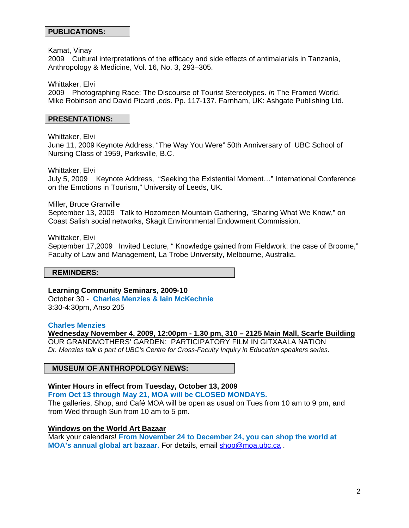Kamat, Vinay

2009 Cultural interpretations of the efficacy and side effects of antimalarials in Tanzania, Anthropology & Medicine, Vol. 16, No. 3, 293–305.

Whittaker, Elvi

2009 Photographing Race: The Discourse of Tourist Stereotypes. *In* The Framed World. Mike Robinson and David Picard ,eds. Pp. 117-137. Farnham, UK: Ashgate Publishing Ltd.

#### **PRESENTATIONS:**

Whittaker, Elvi

June 11, 2009 Keynote Address, "The Way You Were" 50th Anniversary of UBC School of Nursing Class of 1959, Parksville, B.C.

Whittaker, Elvi

July 5, 2009 Keynote Address, "Seeking the Existential Moment…" International Conference on the Emotions in Tourism," University of Leeds, UK.

Miller, Bruce Granville

September 13, 2009 Talk to Hozomeen Mountain Gathering, "Sharing What We Know," on Coast Salish social networks, Skagit Environmental Endowment Commission.

Whittaker, Elvi September 17,2009 Invited Lecture, " Knowledge gained from Fieldwork: the case of Broome," Faculty of Law and Management, La Trobe University, Melbourne, Australia.

#### **REMINDERS:**

**Learning Community Seminars, 2009-10** 

October 30 - **Charles Menzies & Iain McKechnie** 3:30-4:30pm, Anso 205

#### **Charles Menzies**

**Wednesday November 4, 2009, 12:00pm - 1.30 pm, 310 – 2125 Main Mall, Scarfe Building** OUR GRANDMOTHERS' GARDEN: PARTICIPATORY FILM IN GITXAALA NATION *Dr. Menzies talk is part of UBC's Centre for Cross-Faculty Inquiry in Education speakers series.* 

#### **MUSEUM OF ANTHROPOLOGY NEWS:**

#### **Winter Hours in effect from Tuesday, October 13, 2009**

**From Oct 13 through May 21, MOA will be CLOSED MONDAYS.**

The galleries, Shop, and Café MOA will be open as usual on Tues from 10 am to 9 pm, and from Wed through Sun from 10 am to 5 pm.

#### **Windows on the World Art Bazaar**

Mark your calendars! **From November 24 to December 24, you can shop the world at MOA's annual global art bazaar.** For details, email shop@moa.ubc.ca .